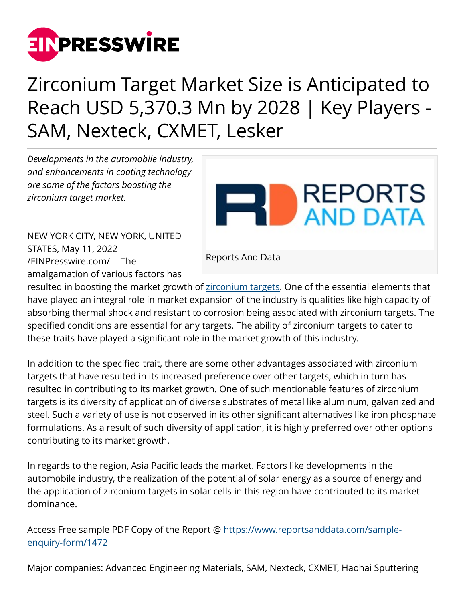

## Zirconium Target Market Size is Anticipated to Reach USD 5,370.3 Mn by 2028 | Key Players - SAM, Nexteck, CXMET, Lesker

*Developments in the automobile industry, and enhancements in coating technology are some of the factors boosting the zirconium target market.* 

NEW YORK CITY, NEW YORK, UNITED STATES, May 11, 2022 [/EINPresswire.com/](http://www.einpresswire.com) -- The amalgamation of various factors has

Reports And Data

**REPORTS** 

AND DATA

resulted in boosting the market growth of [zirconium targets](https://www.reportsanddata.com/report-detail/zirconium-target-market). One of the essential elements that have played an integral role in market expansion of the industry is qualities like high capacity of absorbing thermal shock and resistant to corrosion being associated with zirconium targets. The specified conditions are essential for any targets. The ability of zirconium targets to cater to these traits have played a significant role in the market growth of this industry.

In addition to the specified trait, there are some other advantages associated with zirconium targets that have resulted in its increased preference over other targets, which in turn has resulted in contributing to its market growth. One of such mentionable features of zirconium targets is its diversity of application of diverse substrates of metal like aluminum, galvanized and steel. Such a variety of use is not observed in its other significant alternatives like iron phosphate formulations. As a result of such diversity of application, it is highly preferred over other options contributing to its market growth.

In regards to the region, Asia Pacific leads the market. Factors like developments in the automobile industry, the realization of the potential of solar energy as a source of energy and the application of zirconium targets in solar cells in this region have contributed to its market dominance.

Access Free sample PDF Copy of the Report @ [https://www.reportsanddata.com/sample](https://www.reportsanddata.com/sample-enquiry-form/1472)[enquiry-form/1472](https://www.reportsanddata.com/sample-enquiry-form/1472) 

Major companies: Advanced Engineering Materials, SAM, Nexteck, CXMET, Haohai Sputtering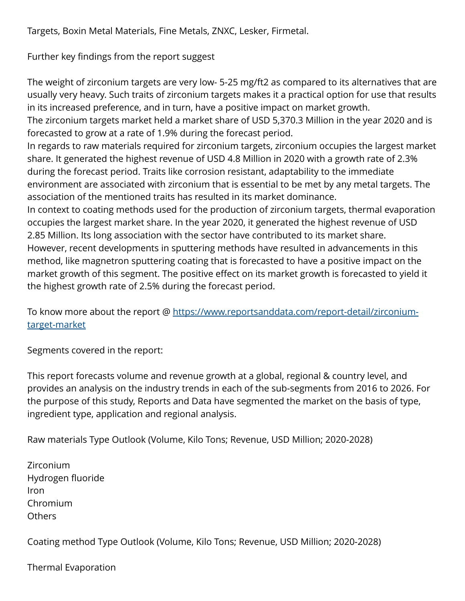Targets, Boxin Metal Materials, Fine Metals, ZNXC, Lesker, Firmetal.

Further key findings from the report suggest

The weight of zirconium targets are very low- 5-25 mg/ft2 as compared to its alternatives that are usually very heavy. Such traits of zirconium targets makes it a practical option for use that results in its increased preference, and in turn, have a positive impact on market growth.

The zirconium targets market held a market share of USD 5,370.3 Million in the year 2020 and is forecasted to grow at a rate of 1.9% during the forecast period.

In regards to raw materials required for zirconium targets, zirconium occupies the largest market share. It generated the highest revenue of USD 4.8 Million in 2020 with a growth rate of 2.3% during the forecast period. Traits like corrosion resistant, adaptability to the immediate environment are associated with zirconium that is essential to be met by any metal targets. The association of the mentioned traits has resulted in its market dominance.

In context to coating methods used for the production of zirconium targets, thermal evaporation occupies the largest market share. In the year 2020, it generated the highest revenue of USD 2.85 Million. Its long association with the sector have contributed to its market share. However, recent developments in sputtering methods have resulted in advancements in this method, like magnetron sputtering coating that is forecasted to have a positive impact on the market growth of this segment. The positive effect on its market growth is forecasted to yield it the highest growth rate of 2.5% during the forecast period.

To know more about the report @ [https://www.reportsanddata.com/report-detail/zirconium](https://www.reportsanddata.com/report-detail/zirconium-target-market)[target-market](https://www.reportsanddata.com/report-detail/zirconium-target-market)

Segments covered in the report:

This report forecasts volume and revenue growth at a global, regional & country level, and provides an analysis on the industry trends in each of the sub-segments from 2016 to 2026. For the purpose of this study, Reports and Data have segmented the market on the basis of type, ingredient type, application and regional analysis.

Raw materials Type Outlook (Volume, Kilo Tons; Revenue, USD Million; 2020-2028)

Zirconium Hydrogen fluoride Iron Chromium **Others** 

Coating method Type Outlook (Volume, Kilo Tons; Revenue, USD Million; 2020-2028)

Thermal Evaporation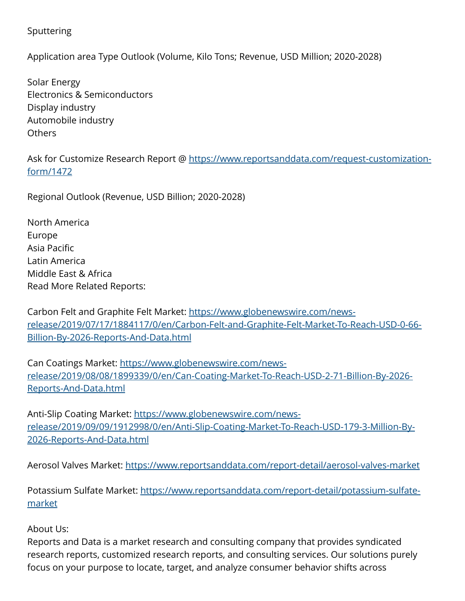## Sputtering

Application area Type Outlook (Volume, Kilo Tons; Revenue, USD Million; 2020-2028)

Solar Energy Electronics & Semiconductors Display industry Automobile industry Others

Ask for Customize Research Report @ [https://www.reportsanddata.com/request-customization](https://www.reportsanddata.com/request-customization-form/1472)[form/1472](https://www.reportsanddata.com/request-customization-form/1472)

Regional Outlook (Revenue, USD Billion; 2020-2028)

North America Europe Asia Pacific Latin America Middle East & Africa Read More Related Reports:

Carbon Felt and Graphite Felt Market: [https://www.globenewswire.com/news](https://www.globenewswire.com/news-release/2019/07/17/1884117/0/en/Carbon-Felt-and-Graphite-Felt-Market-To-Reach-USD-0-66-Billion-By-2026-Reports-And-Data.html)[release/2019/07/17/1884117/0/en/Carbon-Felt-and-Graphite-Felt-Market-To-Reach-USD-0-66-](https://www.globenewswire.com/news-release/2019/07/17/1884117/0/en/Carbon-Felt-and-Graphite-Felt-Market-To-Reach-USD-0-66-Billion-By-2026-Reports-And-Data.html) [Billion-By-2026-Reports-And-Data.html](https://www.globenewswire.com/news-release/2019/07/17/1884117/0/en/Carbon-Felt-and-Graphite-Felt-Market-To-Reach-USD-0-66-Billion-By-2026-Reports-And-Data.html)

Can Coatings Market: [https://www.globenewswire.com/news](https://www.globenewswire.com/news-release/2019/08/08/1899339/0/en/Can-Coating-Market-To-Reach-USD-2-71-Billion-By-2026-Reports-And-Data.html)[release/2019/08/08/1899339/0/en/Can-Coating-Market-To-Reach-USD-2-71-Billion-By-2026-](https://www.globenewswire.com/news-release/2019/08/08/1899339/0/en/Can-Coating-Market-To-Reach-USD-2-71-Billion-By-2026-Reports-And-Data.html) [Reports-And-Data.html](https://www.globenewswire.com/news-release/2019/08/08/1899339/0/en/Can-Coating-Market-To-Reach-USD-2-71-Billion-By-2026-Reports-And-Data.html)

Anti-Slip Coating Market: [https://www.globenewswire.com/news](https://www.globenewswire.com/news-release/2019/09/09/1912998/0/en/Anti-Slip-Coating-Market-To-Reach-USD-179-3-Million-By-2026-Reports-And-Data.html)[release/2019/09/09/1912998/0/en/Anti-Slip-Coating-Market-To-Reach-USD-179-3-Million-By-](https://www.globenewswire.com/news-release/2019/09/09/1912998/0/en/Anti-Slip-Coating-Market-To-Reach-USD-179-3-Million-By-2026-Reports-And-Data.html)[2026-Reports-And-Data.html](https://www.globenewswire.com/news-release/2019/09/09/1912998/0/en/Anti-Slip-Coating-Market-To-Reach-USD-179-3-Million-By-2026-Reports-And-Data.html)

Aerosol Valves Market:<https://www.reportsanddata.com/report-detail/aerosol-valves-market>

Potassium Sulfate Market: [https://www.reportsanddata.com/report-detail/potassium-sulfate](https://www.reportsanddata.com/report-detail/potassium-sulfate-market)[market](https://www.reportsanddata.com/report-detail/potassium-sulfate-market)

## About Us:

Reports and Data is a market research and consulting company that provides syndicated research reports, customized research reports, and consulting services. Our solutions purely focus on your purpose to locate, target, and analyze consumer behavior shifts across